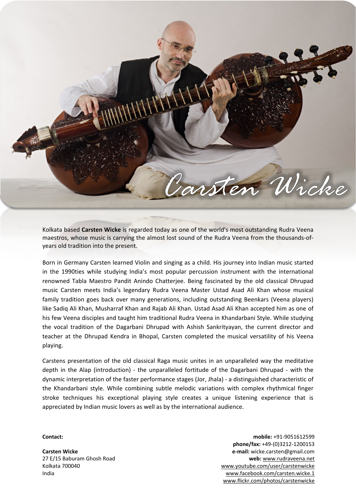

Kolkata based **Carsten Wicke** is regarded today as one of the world's most outstanding Rudra Veena maestros, whose music is carrying the almost lost sound of the Rudra Veena from the thousands-ofyears old tradition into the present.

Born in Germany Carsten learned Violin and singing as a child. His journey into Indian music started in the 1990ties while studying India's most popular percussion instrument with the international renowned Tabla Maestro Pandit Anindo Chatterjee. Being fascinated by the old classical Dhrupad music Carsten meets India's legendary Rudra Veena Master Ustad Asad Ali Khan whose musical family tradition goes back over many generations, including outstanding Beenkars (Veena players) like Sadiq Ali Khan, Musharraf Khan and Rajab Ali Khan. Ustad Asad Ali Khan accepted him as one of his few Veena disciples and taught him traditional Rudra Veena in Khandarbani Style. While studying the vocal tradition of the Dagarbani Dhrupad with Ashish Sankrityayan, the current director and teacher at the Dhrupad Kendra in Bhopal, Carsten completed the musical versatility of his Veena playing.

Carstens presentation of the old classical Raga music unites in an unparalleled way the meditative depth in the Alap (introduction) - the unparalleled fortitude of the Dagarbani Dhrupad - with the dynamic interpretation of the faster performance stages (Jor, Jhala) - a distinguished characteristic of the Khandarbani style. While combining subtle melodic variations with complex rhythmical finger stroke techniques his exceptional playing style creates a unique listening experience that is appreciated by Indian music lovers as well as by the international audience.

## **Contact:**

**Carsten Wicke** 27 E/15 Baburam Ghosh Road Kolkata 700040 India

**mobile:** +91-9051612599 **phone/fax:** +49-(0)3212-1200153 **e-mail:** wicke.carsten@gmail.com **web:** [www.rudraveena.net](http://www.rudraveena.net/) [www.youtube.com/user/carstenwicke](http://www.youtube.com/user/carstenwicke) [www.facebook.com/carsten.wicke.1](http://www.facebook.com/carsten.wicke.1) [www.flickr.com/photos/carstenwicke](http://www.flickr.com/photos/carstenwicke/albums)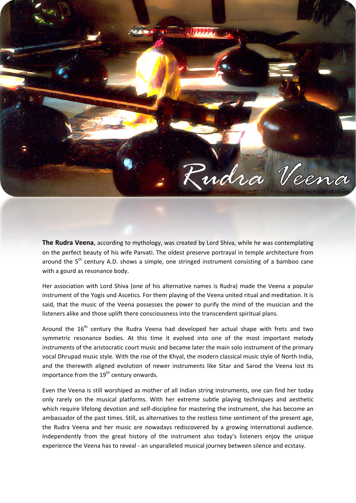

**The Rudra Veena**, according to mythology, was created by Lord Shiva, while he was contemplating on the perfect beauty of his wife Parvati. The oldest preserve portrayal in temple architecture from around the 5<sup>th</sup> century A.D. shows a simple, one stringed instrument consisting of a bamboo cane with a gourd as resonance body.

Her association with Lord Shiva (one of his alternative names is Rudra) made the Veena a popular instrument of the Yogis und Ascetics. For them playing of the Veena united ritual and meditation. It is said, that the music of the Veena possesses the power to purify the mind of the musician and the listeners alike and those uplift there consciousness into the transcendent spiritual plans.

Around the 16<sup>th</sup> century the Rudra Veena had developed her actual shape with frets and two symmetric resonance bodies. At this time it evolved into one of the most important melody instruments of the aristocratic court music and became later the main solo instrument of the primary vocal Dhrupad music style. With the rise of the Khyal, the modern classical music style of North India, and the therewith aligned evolution of newer instruments like Sitar and Sarod the Veena lost its importance from the  $19<sup>th</sup>$  century onwards.

Even the Veena is still worshiped as mother of all Indian string instruments, one can find her today only rarely on the musical platforms. With her extreme subtle playing techniques and aesthetic which require lifelong devotion and self-discipline for mastering the instrument, she has become an ambassador of the past times. Still, as alternatives to the restless time sentiment of the present age, the Rudra Veena and her music are nowadays rediscovered by a growing international audience. Independently from the great history of the instrument also today's listeners enjoy the unique experience the Veena has to reveal ‐ an unparalleled musical journey between silence and ecstasy.